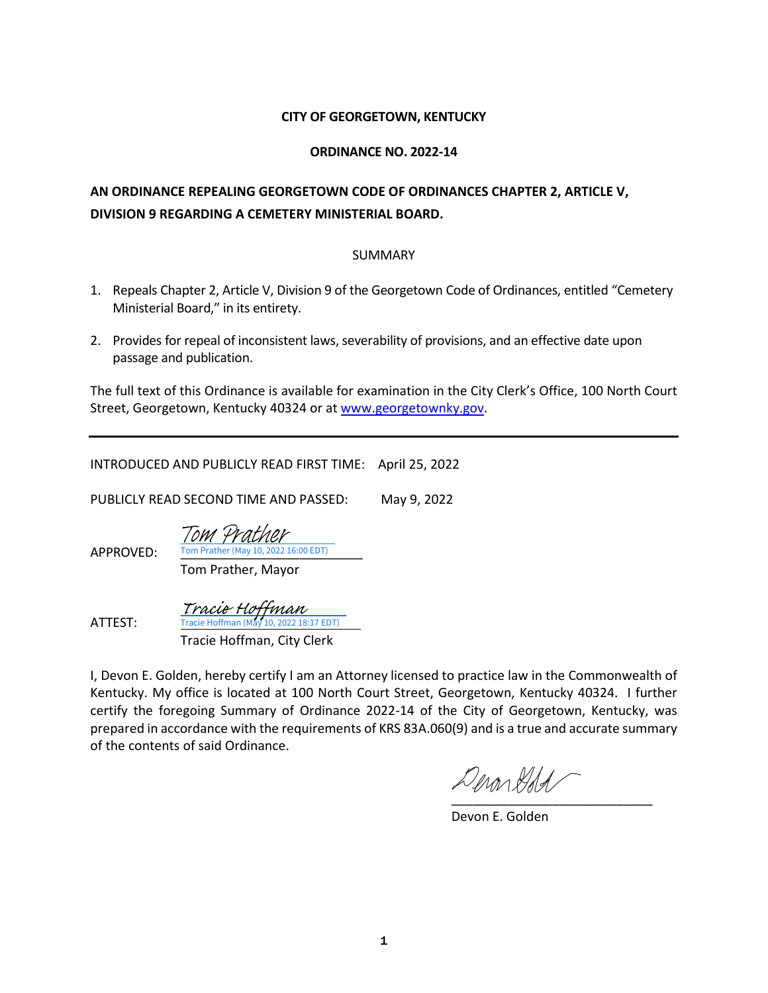### **CITY OF GEORGETOWN, KENTUCKY**

### **ORDINANCE NO. 2022-14**

## **AN ORDINANCE REPEALING GEORGETOWN CODE OF ORDINANCES CHAPTER 2, ARTICLE V, DIVISION 9 REGARDING A CEMETERY MINISTERIAL BOARD.**

#### SUMMARY

- 1. Repeals Chapter 2, Article V, Division 9 of the Georgetown Code of Ordinances, entitled "Cemetery Ministerial Board," in its entirety.
- 2. Provides for repeal of inconsistent laws, severability of provisions, and an effective date upon passage and publication.

The full text of this Ordinance is available for examination in the City Clerk's Office, 100 North Court Street, Georgetown, Kentucky 40324 or a[t www.georgetownky.gov.](http://www.georgetownky.gov/)

INTRODUCED AND PUBLICLY READ FIRST TIME: April 25, 2022

PUBLICLY READ SECOND TIME AND PASSED: May 9, 2022

APPROVED: Tom Prather (May 10, 2022 16:00 EDT)

Tom Prather, Mayor

[Tom Prather](https://na1.documents.adobe.com/verifier?tx=CBJCHBCAABAAd0uwYE4G20nHX2aoFt5EBlg684knrIxr)

ATTEST:

 Tracie Hoffman, City Clerk [Tracie Hoffman](https://na1.documents.adobe.com/verifier?tx=CBJCHBCAABAAd0uwYE4G20nHX2aoFt5EBlg684knrIxr)<br>Tracie Hoffman (May 10, 2022 18:17 EDT)

I, Devon E. Golden, hereby certify I am an Attorney licensed to practice law in the Commonwealth of Kentucky. My office is located at 100 North Court Street, Georgetown, Kentucky 40324. I further certify the foregoing Summary of Ordinance 2022-14 of the City of Georgetown, Kentucky, was prepared in accordance with the requirements of KRS 83A.060(9) and is a true and accurate summary of the contents of said Ordinance.

Denarddal [\\_\\_\\_\\_\\_\\_\\_\\_\\_\\_\\_\\_\\_\\_\\_\\_\\_\\_\\_\\_\\_\\_\\_\\_\\_\\_\\_\\_](https://adobefreeuserschannel.na1.documents.adobe.com/verifier?tx=CBJCHBCAABAAd0uwYE4G20nHX2aoFt5EBlg684knrIxr)

Devon E. Golden